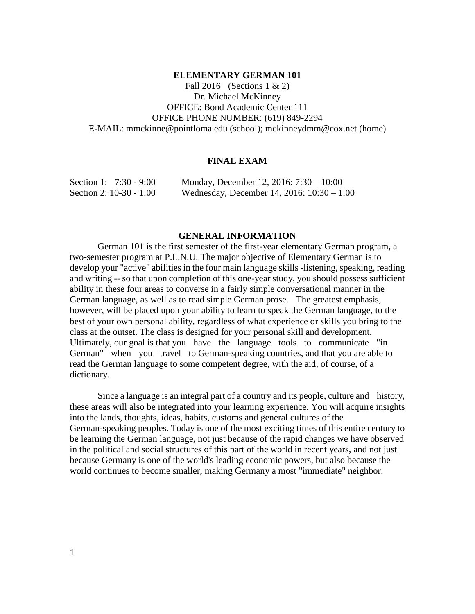#### **ELEMENTARY GERMAN 101**

Fall 2016 (Sections 1 & 2) Dr. Michael McKinney OFFICE: Bond Academic Center 111 OFFICE PHONE NUMBER: (619) 849-2294 E-MAIL: mmckinne@pointloma.edu (school); mckinneydmm@cox.net (home)

### **FINAL EXAM**

| Section 1: 7:30 - 9:00  | Monday, December 12, 2016: $7:30 - 10:00$    |
|-------------------------|----------------------------------------------|
| Section 2: 10-30 - 1:00 | Wednesday, December 14, 2016: $10:30 - 1:00$ |

### **GENERAL INFORMATION**

German 101 is the first semester of the first-year elementary German program, a two-semester program at P.L.N.U. The major objective of Elementary German is to develop your "active" abilities in the four main language skills -listening, speaking, reading and writing -- so that upon completion of this one-year study, you should possess sufficient ability in these four areas to converse in a fairly simple conversational manner in the German language, as well as to read simple German prose. The greatest emphasis, however, will be placed upon your ability to learn to speak the German language, to the best of your own personal ability, regardless of what experience or skills you bring to the class at the outset. The class is designed for your personal skill and development. Ultimately, our goal is that you have the language tools to communicate "in German" when you travel to German-speaking countries, and that you are able to read the German language to some competent degree, with the aid, of course, of a dictionary.

Since a language is an integral part of a country and its people, culture and history, these areas will also be integrated into your learning experience. You will acquire insights into the lands, thoughts, ideas, habits, customs and general cultures of the German-speaking peoples. Today is one of the most exciting times of this entire century to be learning the German language, not just because of the rapid changes we have observed in the political and social structures of this part of the world in recent years, and not just because Germany is one of the world's leading economic powers, but also because the world continues to become smaller, making Germany a most "immediate" neighbor.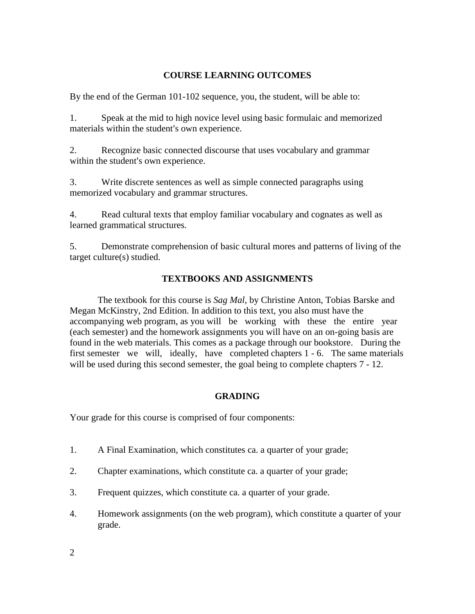## **COURSE LEARNING OUTCOMES**

By the end of the German 101-102 sequence, you, the student, will be able to:

1. Speak at the mid to high novice level using basic formulaic and memorized materials within the student's own experience.

2. Recognize basic connected discourse that uses vocabulary and grammar within the student's own experience.

3. Write discrete sentences as well as simple connected paragraphs using memorized vocabulary and grammar structures.

4. Read cultural texts that employ familiar vocabulary and cognates as well as learned grammatical structures.

5. Demonstrate comprehension of basic cultural mores and patterns of living of the target culture(s) studied.

# **TEXTBOOKS AND ASSIGNMENTS**

The textbook for this course is *Sag Mal*, by Christine Anton, Tobias Barske and Megan McKinstry, 2nd Edition. In addition to this text, you also must have the accompanying web program, as you will be working with these the entire year (each semester) and the homework assignments you will have on an on-going basis are found in the web materials. This comes as a package through our bookstore. During the first semester we will, ideally, have completed chapters 1 - 6. The same materials will be used during this second semester, the goal being to complete chapters  $7 - 12$ .

# **GRADING**

Your grade for this course is comprised of four components:

- 1. A Final Examination, which constitutes ca. a quarter of your grade;
- 2. Chapter examinations, which constitute ca. a quarter of your grade;
- 3. Frequent quizzes, which constitute ca. a quarter of your grade.
- 4. Homework assignments (on the web program), which constitute a quarter of your grade.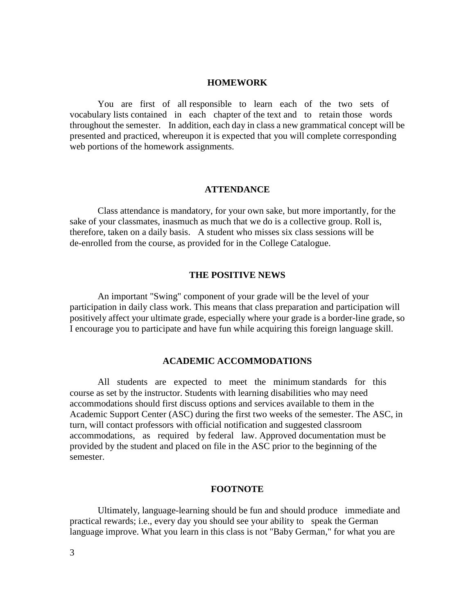### **HOMEWORK**

You are first of all responsible to learn each of the two sets of vocabulary lists contained in each chapter of the text and to retain those words throughout the semester. In addition, each day in class a new grammatical concept will be presented and practiced, whereupon it is expected that you will complete corresponding web portions of the homework assignments.

#### **ATTENDANCE**

Class attendance is mandatory, for your own sake, but more importantly, for the sake of your classmates, inasmuch as much that we do is a collective group. Roll is, therefore, taken on a daily basis. A student who misses six class sessions will be de-enrolled from the course, as provided for in the College Catalogue.

#### **THE POSITIVE NEWS**

An important "Swing" component of your grade will be the level of your participation in daily class work. This means that class preparation and participation will positively affect your ultimate grade, especially where your grade is a border-line grade, so I encourage you to participate and have fun while acquiring this foreign language skill.

### **ACADEMIC ACCOMMODATIONS**

All students are expected to meet the minimum standards for this course as set by the instructor. Students with learning disabilities who may need accommodations should first discuss options and services available to them in the Academic Support Center (ASC) during the first two weeks of the semester. The ASC, in turn, will contact professors with official notification and suggested classroom accommodations, as required by federal law. Approved documentation must be provided by the student and placed on file in the ASC prior to the beginning of the semester.

#### **FOOTNOTE**

Ultimately, language-learning should be fun and should produce immediate and practical rewards; i.e., every day you should see your ability to speak the German language improve. What you learn in this class is not "Baby German," for what you are